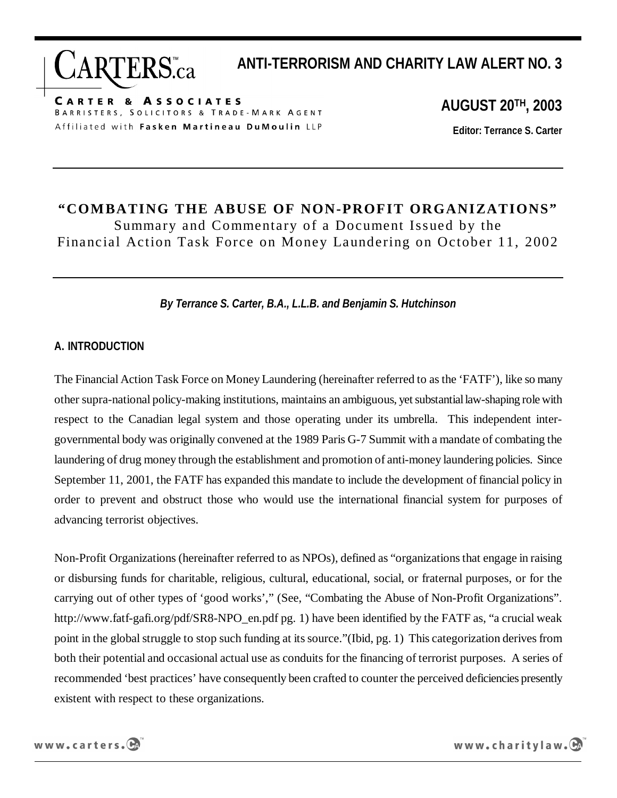**ANTI-TERRORISM AND CHARITY LAW ALERT NO. 3** 

**CARTER & ASSOCIATES** BARRISTERS, SOLICITORS & TRADE-MARK AGENT Affiliated with Fasken Martineau DuMoulin LLP

RTERS.ca

**AUGUST 20TH, 2003** 

**Editor: Terrance S. Carter** 

# **"COMBATING THE ABUSE OF NON-PROFIT ORGANIZATIONS"**  Summary and Commentary of a Document Issued by the Financial Action Task Force on Money Laundering on October 11, 2002

### *By Terrance S. Carter, B.A., L.L.B. and Benjamin S. Hutchinson*

#### **A. INTRODUCTION**

The Financial Action Task Force on Money Laundering (hereinafter referred to as the 'FATF'), like so many other supra-national policy-making institutions, maintains an ambiguous, yet substantial law-shaping role with respect to the Canadian legal system and those operating under its umbrella. This independent intergovernmental body was originally convened at the 1989 Paris G-7 Summit with a mandate of combating the laundering of drug money through the establishment and promotion of anti-money laundering policies. Since September 11, 2001, the FATF has expanded this mandate to include the development of financial policy in order to prevent and obstruct those who would use the international financial system for purposes of advancing terrorist objectives.

Non-Profit Organizations (hereinafter referred to as NPOs), defined as "organizations that engage in raising or disbursing funds for charitable, religious, cultural, educational, social, or fraternal purposes, or for the carrying out of other types of 'good works'," (See, "Combating the Abuse of Non-Profit Organizations". http://www.fatf-gafi.org/pdf/SR8-NPO\_en.pdf pg. 1) have been identified by the FATF as, "a crucial weak point in the global struggle to stop such funding at its source."(Ibid, pg. 1) This categorization derives from both their potential and occasional actual use as conduits for the financing of terrorist purposes. A series of recommended 'best practices' have consequently been crafted to counter the perceived deficiencies presently existent with respect to these organizations.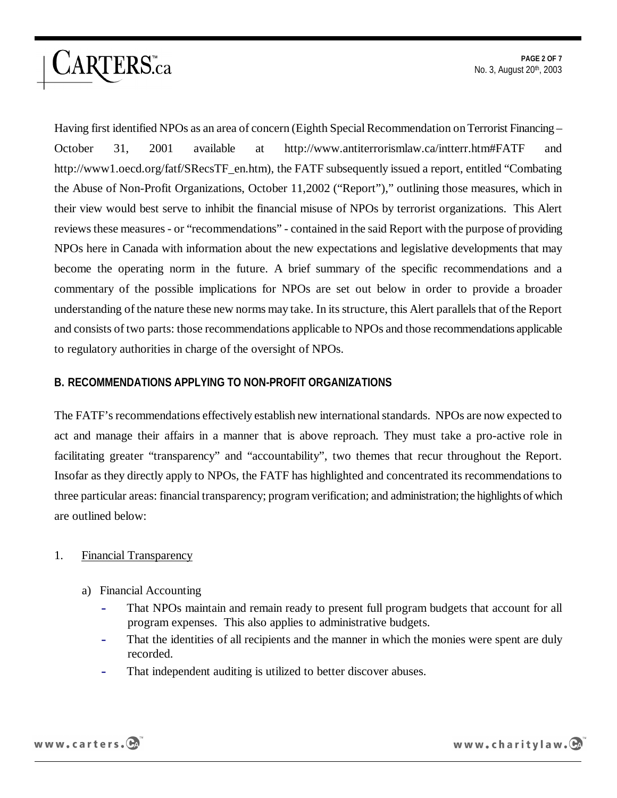Having first identified NPOs as an area of concern (Eighth Special Recommendation on Terrorist Financing – October 31, 2001 available at http://www.antiterrorismlaw.ca/intterr.htm#FATF and http://www1.oecd.org/fatf/SRecsTF\_en.htm), the FATF subsequently issued a report, entitled "Combating the Abuse of Non-Profit Organizations, October 11,2002 ("Report")," outlining those measures, which in their view would best serve to inhibit the financial misuse of NPOs by terrorist organizations. This Alert reviews these measures - or "recommendations" - contained in the said Report with the purpose of providing NPOs here in Canada with information about the new expectations and legislative developments that may become the operating norm in the future. A brief summary of the specific recommendations and a commentary of the possible implications for NPOs are set out below in order to provide a broader understanding of the nature these new norms may take. In its structure, this Alert parallels that of the Report and consists of two parts: those recommendations applicable to NPOs and those recommendations applicable to regulatory authorities in charge of the oversight of NPOs.

# **B. RECOMMENDATIONS APPLYING TO NON-PROFIT ORGANIZATIONS**

The FATF's recommendations effectively establish new international standards. NPOs are now expected to act and manage their affairs in a manner that is above reproach. They must take a pro-active role in facilitating greater "transparency" and "accountability", two themes that recur throughout the Report. Insofar as they directly apply to NPOs, the FATF has highlighted and concentrated its recommendations to three particular areas: financial transparency; program verification; and administration; the highlights of which are outlined below:

# 1. Financial Transparency

ARTERS.ca

- a) Financial Accounting
	- That NPOs maintain and remain ready to present full program budgets that account for all program expenses. This also applies to administrative budgets.
	- That the identities of all recipients and the manner in which the monies were spent are duly recorded.
	- That independent auditing is utilized to better discover abuses.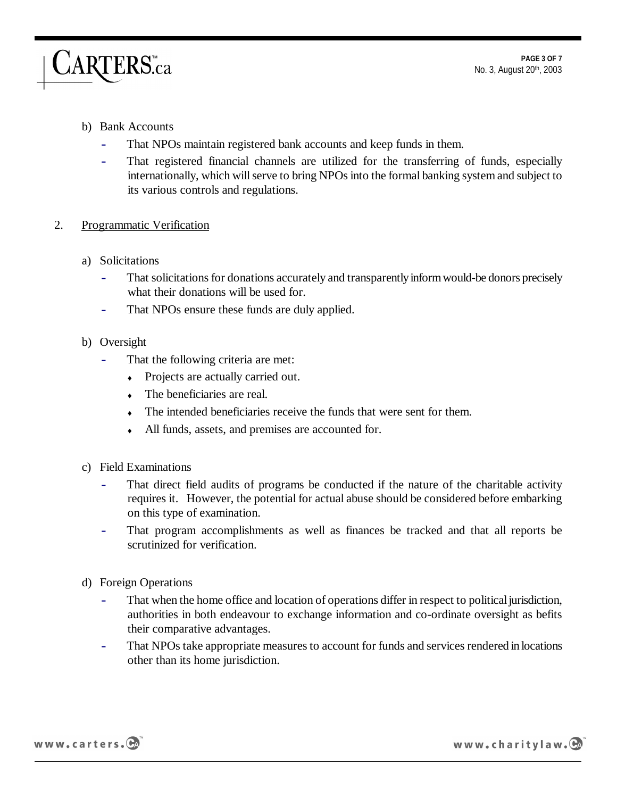#### b) Bank Accounts

ARTERS<sub>ca</sub>

- That NPOs maintain registered bank accounts and keep funds in them.
- That registered financial channels are utilized for the transferring of funds, especially internationally, which will serve to bring NPOs into the formal banking system and subject to its various controls and regulations.
- 2. Programmatic Verification
	- a) Solicitations
		- That solicitations for donations accurately and transparently inform would-be donors precisely what their donations will be used for.
		- That NPOs ensure these funds are duly applied.
	- b) Oversight
		- That the following criteria are met:
			- Projects are actually carried out.
			- $\bullet$  The beneficiaries are real.
			- The intended beneficiaries receive the funds that were sent for them.
			- ♦ All funds, assets, and premises are accounted for.
	- c) Field Examinations
		- That direct field audits of programs be conducted if the nature of the charitable activity requires it. However, the potential for actual abuse should be considered before embarking on this type of examination.
		- That program accomplishments as well as finances be tracked and that all reports be scrutinized for verification.
	- d) Foreign Operations
		- That when the home office and location of operations differ in respect to political jurisdiction, authorities in both endeavour to exchange information and co-ordinate oversight as befits their comparative advantages.
		- That NPOs take appropriate measures to account for funds and services rendered in locations other than its home jurisdiction.



www.charitylaw.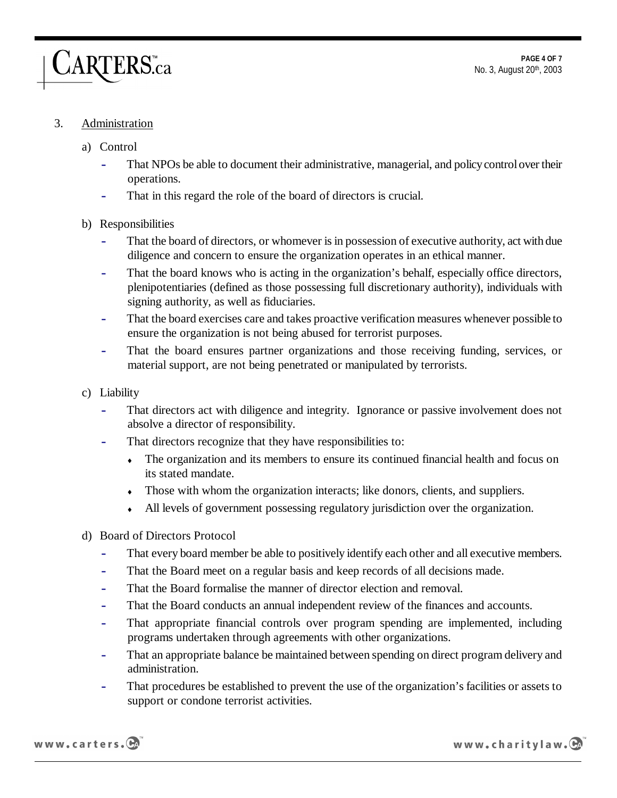#### **PAGE 4 OF 7**  No. 3, August 20th, 2003

#### 3. Administration

## a) Control

ARTERS.ca

- That NPOs be able to document their administrative, managerial, and policy control over their operations.
- That in this regard the role of the board of directors is crucial.

#### b) Responsibilities

- That the board of directors, or whomever is in possession of executive authority, act with due diligence and concern to ensure the organization operates in an ethical manner.
- That the board knows who is acting in the organization's behalf, especially office directors, plenipotentiaries (defined as those possessing full discretionary authority), individuals with signing authority, as well as fiduciaries.
- That the board exercises care and takes proactive verification measures whenever possible to ensure the organization is not being abused for terrorist purposes.
- That the board ensures partner organizations and those receiving funding, services, or material support, are not being penetrated or manipulated by terrorists.
- c) Liability
	- That directors act with diligence and integrity. Ignorance or passive involvement does not absolve a director of responsibility.
	- That directors recognize that they have responsibilities to:
		- The organization and its members to ensure its continued financial health and focus on its stated mandate.
		- Those with whom the organization interacts; like donors, clients, and suppliers.
		- ♦ All levels of government possessing regulatory jurisdiction over the organization.
- d) Board of Directors Protocol
	- That every board member be able to positively identify each other and all executive members.
	- That the Board meet on a regular basis and keep records of all decisions made.
	- That the Board formalise the manner of director election and removal.
	- That the Board conducts an annual independent review of the finances and accounts.
	- That appropriate financial controls over program spending are implemented, including programs undertaken through agreements with other organizations.
	- That an appropriate balance be maintained between spending on direct program delivery and administration.
	- That procedures be established to prevent the use of the organization's facilities or assets to support or condone terrorist activities.



www.charitylaw.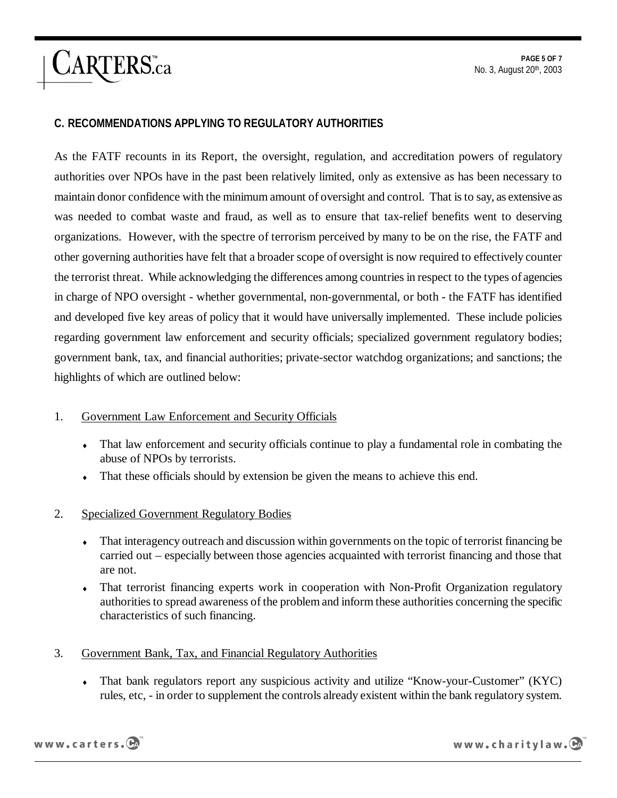#### **C. RECOMMENDATIONS APPLYING TO REGULATORY AUTHORITIES**

ARTERS.ca

As the FATF recounts in its Report, the oversight, regulation, and accreditation powers of regulatory authorities over NPOs have in the past been relatively limited, only as extensive as has been necessary to maintain donor confidence with the minimum amount of oversight and control. That is to say, as extensive as was needed to combat waste and fraud, as well as to ensure that tax-relief benefits went to deserving organizations. However, with the spectre of terrorism perceived by many to be on the rise, the FATF and other governing authorities have felt that a broader scope of oversight is now required to effectively counter the terrorist threat. While acknowledging the differences among countries in respect to the types of agencies in charge of NPO oversight - whether governmental, non-governmental, or both - the FATF has identified and developed five key areas of policy that it would have universally implemented. These include policies regarding government law enforcement and security officials; specialized government regulatory bodies; government bank, tax, and financial authorities; private-sector watchdog organizations; and sanctions; the highlights of which are outlined below:

#### 1. Government Law Enforcement and Security Officials

- That law enforcement and security officials continue to play a fundamental role in combating the abuse of NPOs by terrorists.
- That these officials should by extension be given the means to achieve this end.
- 2. Specialized Government Regulatory Bodies
	- That interagency outreach and discussion within governments on the topic of terrorist financing be carried out – especially between those agencies acquainted with terrorist financing and those that are not.
	- That terrorist financing experts work in cooperation with Non-Profit Organization regulatory authorities to spread awareness of the problem and inform these authorities concerning the specific characteristics of such financing.
- 3. Government Bank, Tax, and Financial Regulatory Authorities
	- That bank regulators report any suspicious activity and utilize "Know-your-Customer" (KYC) rules, etc, - in order to supplement the controls already existent within the bank regulatory system.

www.carters.CA

www.charitylaw.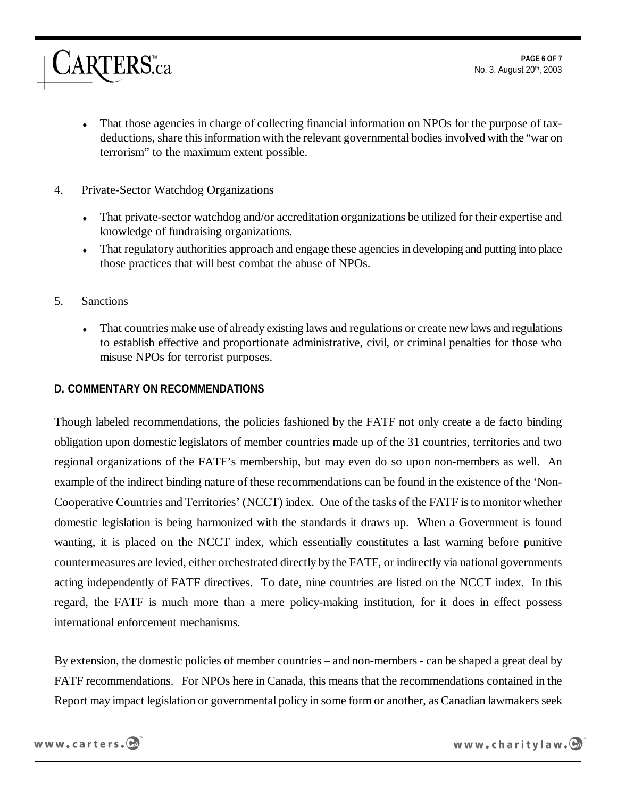• That those agencies in charge of collecting financial information on NPOs for the purpose of taxdeductions, share this information with the relevant governmental bodies involved with the "war on terrorism" to the maximum extent possible.

# 4. Private-Sector Watchdog Organizations

*ARTERS.ca* 

- That private-sector watchdog and/or accreditation organizations be utilized for their expertise and knowledge of fundraising organizations.
- That regulatory authorities approach and engage these agencies in developing and putting into place those practices that will best combat the abuse of NPOs.

# 5. Sanctions

That countries make use of already existing laws and regulations or create new laws and regulations to establish effective and proportionate administrative, civil, or criminal penalties for those who misuse NPOs for terrorist purposes.

# **D. COMMENTARY ON RECOMMENDATIONS**

Though labeled recommendations, the policies fashioned by the FATF not only create a de facto binding obligation upon domestic legislators of member countries made up of the 31 countries, territories and two regional organizations of the FATF's membership, but may even do so upon non-members as well. An example of the indirect binding nature of these recommendations can be found in the existence of the 'Non-Cooperative Countries and Territories' (NCCT) index. One of the tasks of the FATF is to monitor whether domestic legislation is being harmonized with the standards it draws up. When a Government is found wanting, it is placed on the NCCT index, which essentially constitutes a last warning before punitive countermeasures are levied, either orchestrated directly by the FATF, or indirectly via national governments acting independently of FATF directives. To date, nine countries are listed on the NCCT index. In this regard, the FATF is much more than a mere policy-making institution, for it does in effect possess international enforcement mechanisms.

By extension, the domestic policies of member countries – and non-members - can be shaped a great deal by FATF recommendations. For NPOs here in Canada, this means that the recommendations contained in the Report may impact legislation or governmental policy in some form or another, as Canadian lawmakers seek